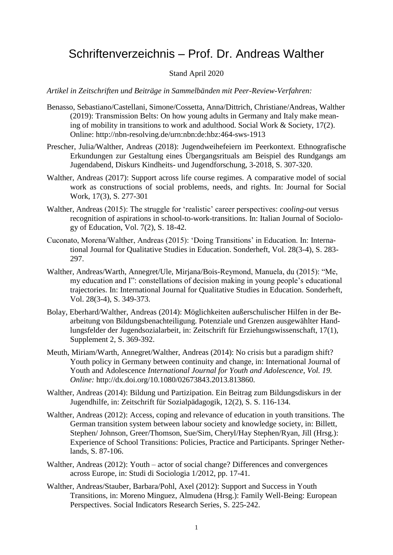# Schriftenverzeichnis – Prof. Dr. Andreas Walther

## Stand April 2020

*Artikel in Zeitschriften und Beiträge in Sammelbänden mit Peer-Review-Verfahren:*

- Benasso, Sebastiano/Castellani, Simone/Cossetta, Anna/Dittrich, Christiane/Andreas, Walther (2019): Transmission Belts: On how young adults in Germany and Italy make meaning of mobility in transitions to work and adulthood. Social Work & Society, 17(2). Online: http://nbn-resolving.de/urn:nbn:de:hbz:464-sws-1913
- Prescher, Julia/Walther, Andreas (2018): Jugendweihefeiern im Peerkontext. Ethnografische Erkundungen zur Gestaltung eines Übergangsrituals am Beispiel des Rundgangs am Jugendabend, Diskurs Kindheits- und Jugendforschung, 3-2018, S. 307-320.
- Walther, Andreas (2017): Support across life course regimes. A comparative model of social work as constructions of social problems, needs, and rights. In: Journal for Social Work, 17(3), S. 277-301
- Walther, Andreas (2015): The struggle for 'realistic' career perspectives: *cooling-out* versus recognition of aspirations in school-to-work-transitions. In: Italian Journal of Sociology of Education, Vol. 7(2), S. 18-42.
- Cuconato, Morena/Walther, Andreas (2015): 'Doing Transitions' in Education. In: International Journal for Qualitative Studies in Education. Sonderheft, Vol. 28(3-4), S. 283- 297.
- Walther, Andreas/Warth, Annegret/Ule, Mirjana/Bois-Reymond, Manuela, du (2015): "Me, my education and I": constellations of decision making in young people's educational trajectories. In: International Journal for Qualitative Studies in Education. Sonderheft, Vol. 28(3-4), S. 349-373.
- Bolay, Eberhard/Walther, Andreas (2014): Möglichkeiten außerschulischer Hilfen in der Bearbeitung von Bildungsbenachteiligung. Potenziale und Grenzen ausgewählter Handlungsfelder der Jugendsozialarbeit, in: Zeitschrift für Erziehungswissenschaft, 17(1), Supplement 2, S. 369-392.
- Meuth, Miriam/Warth, Annegret/Walther, Andreas (2014): No crisis but a paradigm shift? Youth policy in Germany between continuity and change, in: International Journal of Youth and Adolescence *International Journal for Youth and Adolescence, Vol. 19. Online:* http://dx.doi.org/10.1080/02673843.2013.813860.
- Walther, Andreas (2014): Bildung und Partizipation. Ein Beitrag zum Bildungsdiskurs in der Jugendhilfe, in: Zeitschrift für Sozialpädagogik, 12(2), S. S. 116-134.
- Walther, Andreas (2012): Access, coping and relevance of education in youth transitions. The German transition system between labour society and knowledge society, in: Billett, Stephen/ Johnson, Greer/Thomson, Sue/Sim, Cheryl/Hay Stephen/Ryan, Jill (Hrsg.): Experience of School Transitions: Policies, Practice and Participants. Springer Netherlands, S. 87-106.
- Walther, Andreas (2012): Youth actor of social change? Differences and convergences across Europe, in: Studi di Sociologia 1/2012, pp. 17-41.
- Walther, Andreas/Stauber, Barbara/Pohl, Axel (2012): Support and Success in Youth Transitions, in: Moreno Minguez, Almudena (Hrsg.): Family Well-Being: European Perspectives. Social Indicators Research Series, S. 225-242.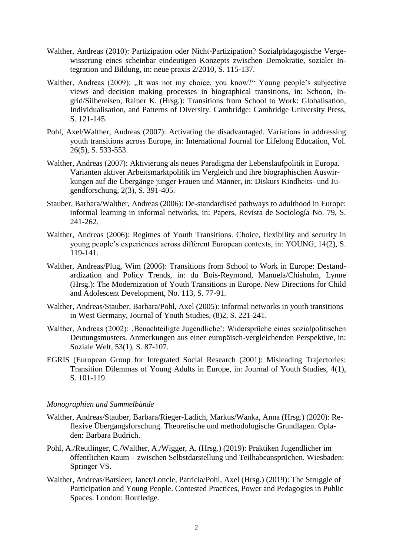- Walther, Andreas (2010): Partizipation oder Nicht-Partizipation? Sozialpädagogische Vergewisserung eines scheinbar eindeutigen Konzepts zwischen Demokratie, sozialer Integration und Bildung, in: neue praxis 2/2010, S. 115-137.
- Walther, Andreas (2009): "It was not my choice, you know?" Young people's subjective views and decision making processes in biographical transitions, in: Schoon, Ingrid/Silbereisen, Rainer K. (Hrsg.): Transitions from School to Work: Globalisation, Individualisation, and Patterns of Diversity. Cambridge: Cambridge University Press, S. 121-145.
- Pohl, Axel/Walther, Andreas (2007): Activating the disadvantaged. Variations in addressing youth transitions across Europe, in: International Journal for Lifelong Education, Vol. 26(5), S. 533-553.
- Walther, Andreas (2007): Aktivierung als neues Paradigma der Lebenslaufpolitik in Europa. Varianten aktiver Arbeitsmarktpolitik im Vergleich und ihre biographischen Auswirkungen auf die Übergänge junger Frauen und Männer, in: Diskurs Kindheits- und Jugendforschung, 2(3), S. 391-405.
- Stauber, Barbara/Walther, Andreas (2006): De-standardised pathways to adulthood in Europe: informal learning in informal networks, in: Papers, Revista de Sociología No. 79, S. 241-262.
- Walther, Andreas (2006): Regimes of Youth Transitions. Choice, flexibility and security in young people's experiences across different European contexts, in: YOUNG, 14(2), S. 119-141.
- Walther, Andreas/Plug, Wim (2006): Transitions from School to Work in Europe: Destandardization and Policy Trends, in: du Bois-Reymond, Manuela/Chisholm, Lynne (Hrsg.): The Modernization of Youth Transitions in Europe. New Directions for Child and Adolescent Development, No. 113, S. 77-91.
- Walther, Andreas/Stauber, Barbara/Pohl, Axel (2005): Informal networks in youth transitions in West Germany, Journal of Youth Studies, (8)2, S. 221-241.
- Walther, Andreas (2002): Benachteiligte Jugendliche': Widersprüche eines sozialpolitischen Deutungsmusters. Anmerkungen aus einer europäisch-vergleichenden Perspektive, in: Soziale Welt, 53(1), S. 87-107.
- EGRIS (European Group for Integrated Social Research (2001): Misleading Trajectories: Transition Dilemmas of Young Adults in Europe, in: Journal of Youth Studies, 4(1), S. 101-119.

# *Monographien und Sammelbände*

- Walther, Andreas/Stauber, Barbara/Rieger-Ladich, Markus/Wanka, Anna (Hrsg.) (2020): Reflexive Übergangsforschung. Theoretische und methodologische Grundlagen. Opladen: Barbara Budrich.
- Pohl, A./Reutlinger, C./Walther, A./Wigger, A. (Hrsg.) (2019): Praktiken Jugendlicher im öffentlichen Raum – zwischen Selbstdarstellung und Teilhabeansprüchen. Wiesbaden: Springer VS.
- Walther, Andreas/Batsleer, Janet/Loncle, Patricia/Pohl, Axel (Hrsg.) (2019): The Struggle of Participation and Young People. Contested Practices, Power and Pedagogies in Public Spaces. London: Routledge.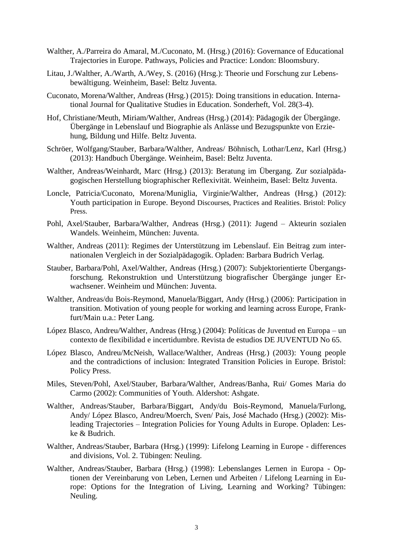- Walther, A./Parreira do Amaral, M./Cuconato, M. (Hrsg.) (2016): Governance of Educational Trajectories in Europe. Pathways, Policies and Practice: London: Bloomsbury.
- Litau, J./Walther, A./Warth, A./Wey, S. (2016) (Hrsg.): Theorie und Forschung zur Lebensbewältigung. Weinheim, Basel: Beltz Juventa.
- Cuconato, Morena/Walther, Andreas (Hrsg.) (2015): Doing transitions in education. International Journal for Qualitative Studies in Education. Sonderheft, Vol. 28(3-4).
- Hof, Christiane/Meuth, Miriam/Walther, Andreas (Hrsg.) (2014): Pädagogik der Übergänge. Übergänge in Lebenslauf und Biographie als Anlässe und Bezugspunkte von Erziehung, Bildung und Hilfe. Beltz Juventa.
- Schröer, Wolfgang/Stauber, Barbara/Walther, Andreas/ Böhnisch, Lothar/Lenz, Karl (Hrsg.) (2013): Handbuch Übergänge. Weinheim, Basel: Beltz Juventa.
- Walther, Andreas/Weinhardt, Marc (Hrsg.) (2013): Beratung im Übergang. Zur sozialpädagogischen Herstellung biographischer Reflexivität. Weinheim, Basel: Beltz Juventa.
- Loncle, Patricia/Cuconato, Morena/Muniglia, Virginie/Walther, Andreas (Hrsg.) (2012): Youth participation in Europe. Beyond Discourses, Practices and Realities. Bristol: Policy Press.
- Pohl, Axel/Stauber, Barbara/Walther, Andreas (Hrsg.) (2011): Jugend Akteurin sozialen Wandels. Weinheim, München: Juventa.
- Walther, Andreas (2011): Regimes der Unterstützung im Lebenslauf. Ein Beitrag zum internationalen Vergleich in der Sozialpädagogik. Opladen: Barbara Budrich Verlag.
- Stauber, Barbara/Pohl, Axel/Walther, Andreas (Hrsg.) (2007): Subjektorientierte Übergangsforschung. Rekonstruktion und Unterstützung biografischer Übergänge junger Erwachsener. Weinheim und München: Juventa.
- Walther, Andreas/du Bois-Reymond, Manuela/Biggart, Andy (Hrsg.) (2006): Participation in transition. Motivation of young people for working and learning across Europe, Frankfurt/Main u.a.: Peter Lang.
- López Blasco, Andreu/Walther, Andreas (Hrsg.) (2004): Políticas de Juventud en Europa un contexto de flexibilidad e incertidumbre. Revista de estudios DE JUVENTUD No 65.
- López Blasco, Andreu/McNeish, Wallace/Walther, Andreas (Hrsg.) (2003): Young people and the contradictions of inclusion: Integrated Transition Policies in Europe. Bristol: Policy Press.
- Miles, Steven/Pohl, Axel/Stauber, Barbara/Walther, Andreas/Banha, Rui/ Gomes Maria do Carmo (2002): Communities of Youth. Aldershot: Ashgate.
- Walther, Andreas/Stauber, Barbara/Biggart, Andy/du Bois-Reymond, Manuela/Furlong, Andy/ López Blasco, Andreu/Moerch, Sven/ Pais, José Machado (Hrsg.) (2002): Misleading Trajectories – Integration Policies for Young Adults in Europe. Opladen: Leske & Budrich.
- Walther, Andreas/Stauber, Barbara (Hrsg.) (1999): Lifelong Learning in Europe differences and divisions, Vol. 2. Tübingen: Neuling.
- Walther, Andreas/Stauber, Barbara (Hrsg.) (1998): Lebenslanges Lernen in Europa Optionen der Vereinbarung von Leben, Lernen und Arbeiten / Lifelong Learning in Europe: Options for the Integration of Living, Learning and Working? Tübingen: Neuling.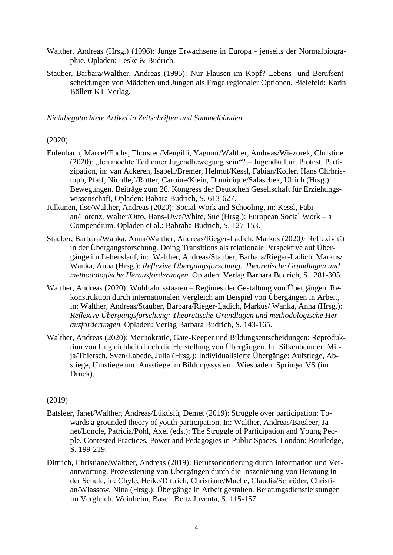- Walther, Andreas (Hrsg.) (1996): Junge Erwachsene in Europa jenseits der Normalbiographie. Opladen: Leske & Budrich.
- Stauber, Barbara/Walther, Andreas (1995): Nur Flausen im Kopf? Lebens- und Berufsentscheidungen von Mädchen und Jungen als Frage regionaler Optionen. Bielefeld: Karin Böllert KT-Verlag.

*Nichtbegutachtete Artikel in Zeitschriften und Sammelbänden*

### (2020)

- Eulenbach, Marcel/Fuchs, Thorsten/Mengilli, Yagmur/Walther, Andreas/Wiezorek, Christine (2020): "Ich mochte Teil einer Jugendbewegung sein"? – Jugendkultur, Protest, Partizipation, in: van Ackeren, Isabell/Bremer, Helmut/Kessl, Fabian/Koller, Hans Chrhristoph, Pfaff, Nicolle,´/Rotter, Caroine/Klein, Dominique/Salaschek, Ulrich (Hrsg.): Bewegungen. Beiträge zum 26. Kongress der Deutschen Gesellschaft für Erziehungswissenschaft, Opladen: Babara Budrich, S. 613-627.
- Julkunen, Ilse/Walther, Andreas (2020): Social Work and Schooling, in: Kessl, Fabian/Lorenz, Walter/Otto, Hans-Uwe/White, Sue (Hrsg.): European Social Work – a Compendium. Opladen et al.: Babraba Budrich, S. 127-153.
- Stauber, Barbara/Wanka, Anna/Walther, Andreas/Rieger-Ladich, Markus (2020*):* Reflexivität in der Übergangsforschung. Doing Transitions als relationale Perspektive auf Übergänge im Lebenslauf, in: Walther, Andreas/Stauber, Barbara/Rieger-Ladich, Markus/ Wanka, Anna (Hrsg.): *Reflexive Übergangsforschung: Theoretische Grundlagen und methodologische Herausforderungen.* Opladen: Verlag Barbara Budrich, S. 281-305.
- Walther, Andreas (2020): Wohlfahrtsstaaten Regimes der Gestaltung von Übergängen. Rekonstruktion durch internationalen Vergleich am Beispiel von Übergängen in Arbeit, in: Walther, Andreas/Stauber, Barbara/Rieger-Ladich, Markus/ Wanka, Anna (Hrsg.): *Reflexive Übergangsforschung: Theoretische Grundlagen und methodologische Herausforderungen.* Opladen: Verlag Barbara Budrich, S. 143-165.
- Walther, Andreas (2020): Meritokratie, Gate-Keeper und Bildungsentscheidungen: Reproduktion von Ungleichheit durch die Herstellung von Übergängen. In: Silkenbeumer, Mirja/Thiersch, Sven/Labede, Julia (Hrsg.): Individualisierte Übergänge: Aufstiege, Abstiege, Umstiege und Ausstiege im Bildungssystem. Wiesbaden: Springer VS (im Druck).

# (2019)

- Batsleer, Janet/Walther, Andreas/Lüküslü, Demet (2019): Struggle over participation: Towards a grounded theory of youth participation. In: Walther, Andreas/Batsleer, Janet/Loncle, Patricia/Pohl, Axel (eds.): The Struggle of Participation and Young People. Contested Practices, Power and Pedagogies in Public Spaces. London: Routledge, S. 199-219.
- Dittrich, Christiane/Walther, Andreas (2019): Berufsorientierung durch Information und Verantwortung. Prozessierung von Übergängen durch die Inszenierung von Beratung in der Schule, in: Chyle, Heike/Dittrich, Christiane/Muche, Claudia/Schröder, Christian/Wlassow, Nina (Hrsg.): Übergänge in Arbeit gestalten. Beratungsdienstleistungen im Vergleich. Weinheim, Basel: Beltz Juventa, S. 115-157.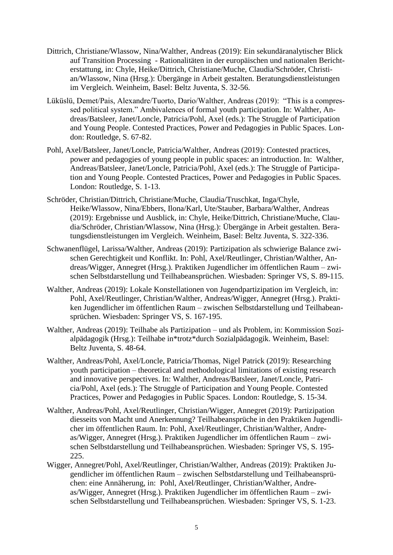- Dittrich, Christiane/Wlassow, Nina/Walther, Andreas (2019): Ein sekundäranalytischer Blick auf Transition Processing - Rationalitäten in der europäischen und nationalen Berichterstattung, in: Chyle, Heike/Dittrich, Christiane/Muche, Claudia/Schröder, Christian/Wlassow, Nina (Hrsg.): Übergänge in Arbeit gestalten. Beratungsdienstleistungen im Vergleich. Weinheim, Basel: Beltz Juventa, S. 32-56.
- Lüküslü, Demet/Pais, Alexandre/Tuorto, Dario/Walther, Andreas (2019): "This is a compressed political system." Ambivalences of formal youth participation. In: Walther, Andreas/Batsleer, Janet/Loncle, Patricia/Pohl, Axel (eds.): The Struggle of Participation and Young People. Contested Practices, Power and Pedagogies in Public Spaces. London: Routledge, S. 67-82.
- Pohl, Axel/Batsleer, Janet/Loncle, Patricia/Walther, Andreas (2019): Contested practices, power and pedagogies of young people in public spaces: an introduction. In: Walther, Andreas/Batsleer, Janet/Loncle, Patricia/Pohl, Axel (eds.): The Struggle of Participation and Young People. Contested Practices, Power and Pedagogies in Public Spaces. London: Routledge, S. 1-13.
- Schröder, Christian/Dittrich, Christiane/Muche, Claudia/Truschkat, Inga/Chyle, Heike/Wlassow, Nina/Ebbers, Ilona/Karl, Ute/Stauber, Barbara/Walther, Andreas (2019): Ergebnisse und Ausblick, in: Chyle, Heike/Dittrich, Christiane/Muche, Claudia/Schröder, Christian/Wlassow, Nina (Hrsg.): Übergänge in Arbeit gestalten. Beratungsdienstleistungen im Vergleich. Weinheim, Basel: Beltz Juventa, S. 322-336.
- Schwanenflügel, Larissa/Walther, Andreas (2019): Partizipation als schwierige Balance zwischen Gerechtigkeit und Konflikt. In: Pohl, Axel/Reutlinger, Christian/Walther, Andreas/Wigger, Annegret (Hrsg.). Praktiken Jugendlicher im öffentlichen Raum – zwischen Selbstdarstellung und Teilhabeansprüchen. Wiesbaden: Springer VS, S. 89-115.
- Walther, Andreas (2019): Lokale Konstellationen von Jugendpartizipation im Vergleich, in: Pohl, Axel/Reutlinger, Christian/Walther, Andreas/Wigger, Annegret (Hrsg.). Praktiken Jugendlicher im öffentlichen Raum – zwischen Selbstdarstellung und Teilhabeansprüchen. Wiesbaden: Springer VS, S. 167-195.
- Walther, Andreas (2019): Teilhabe als Partizipation und als Problem, in: Kommission Sozialpädagogik (Hrsg.): Teilhabe in\*trotz\*durch Sozialpädagogik. Weinheim, Basel: Beltz Juventa, S. 48-64.
- Walther, Andreas/Pohl, Axel/Loncle, Patricia/Thomas, Nigel Patrick (2019): Researching youth participation – theoretical and methodological limitations of existing research and innovative perspectives. In: Walther, Andreas/Batsleer, Janet/Loncle, Patricia/Pohl, Axel (eds.): The Struggle of Participation and Young People. Contested Practices, Power and Pedagogies in Public Spaces. London: Routledge, S. 15-34.
- Walther, Andreas/Pohl, Axel/Reutlinger, Christian/Wigger, Annegret (2019): Partizipation diesseits von Macht und Anerkennung? Teilhabeansprüche in den Praktiken Jugendlicher im öffentlichen Raum. In: Pohl, Axel/Reutlinger, Christian/Walther, Andreas/Wigger, Annegret (Hrsg.). Praktiken Jugendlicher im öffentlichen Raum – zwischen Selbstdarstellung und Teilhabeansprüchen. Wiesbaden: Springer VS, S. 195- 225.
- Wigger, Annegret/Pohl, Axel/Reutlinger, Christian/Walther, Andreas (2019): Praktiken Jugendlicher im öffentlichen Raum – zwischen Selbstdarstellung und Teilhabeansprüchen: eine Annäherung, in: Pohl, Axel/Reutlinger, Christian/Walther, Andreas/Wigger, Annegret (Hrsg.). Praktiken Jugendlicher im öffentlichen Raum – zwischen Selbstdarstellung und Teilhabeansprüchen. Wiesbaden: Springer VS, S. 1-23.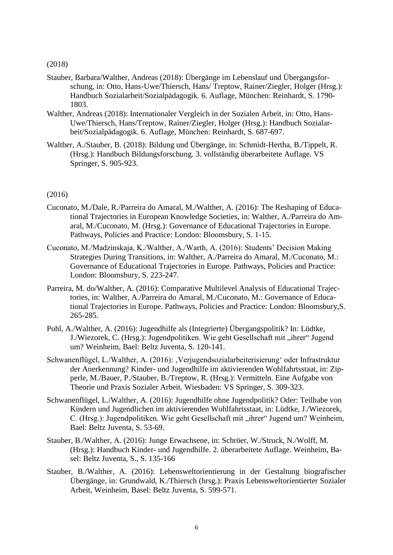(2018)

- Stauber, Barbara/Walther, Andreas (2018): Übergänge im Lebenslauf und Übergangsforschung, in: Otto, Hans-Uwe/Thiersch, Hans/ Treptow, Rainer/Ziegler, Holger (Hrsg.): Handbuch Sozialarbeit/Sozialpädagogik. 6. Auflage, München: Reinhardt, S. 1790- 1803.
- Walther, Andreas (2018): Internationaler Vergleich in der Sozialen Arbeit, in: Otto, Hans-Uwe/Thiersch, Hans/Treptow, Rainer/Ziegler, Holger (Hrsg.): Handbuch Sozialarbeit/Sozialpädagogik. 6. Auflage, München: Reinhardt, S. 687-697.
- Walther, A./Stauber, B. (2018): Bildung und Übergänge, in: Schmidt-Hertha, B./Tippelt, R. (Hrsg.): Handbuch Bildungsforschung. 3. vollständig überarbeitete Auflage. VS Springer, S. 905-923.

#### (2016)

- Cuconato, M./Dale, R./Parreira do Amaral, M./Walther, A. (2016): The Reshaping of Educational Trajectories in European Knowledge Societies, in: Walther, A./Parreira do Amaral, M./Cuconato, M. (Hrsg.): Governance of Educational Trajectories in Europe. Pathways, Policies and Practice: London: Bloomsbury, S. 1-15.
- Cuconato, M./Madzinskaja, K./Walther, A./Warth, A. (2016): Students' Decision Making Strategies During Transitions, in: Walther, A./Parreira do Amaral, M./Cuconato, M.: Governance of Educational Trajectories in Europe. Pathways, Policies and Practice: London: Bloomsbury, S. 223-247.
- Parreira, M. do/Walther, A. (2016): Comparative Multilevel Analysis of Educational Trajectories, in: Walther, A./Parreira do Amaral, M./Cuconato, M.: Governance of Educational Trajectories in Europe. Pathways, Policies and Practice: London: Bloomsbury,S. 265-285.
- Pohl, A./Walther, A. (2016): Jugendhilfe als (Integrierte) Übergangspolitik? In: Lüdtke, J./Wiezorek, C. (Hrsg.): Jugendpolitiken. Wie geht Gesellschaft mit "ihrer" Jugend um? Weinheim, Bael: Beltz Juventa, S. 120-141.
- Schwanenflügel, L./Walther, A. (2016): , Verjugendsozialarbeiterisierung' oder Infrastruktur der Anerkennung? Kinder- und Jugendhilfe im aktivierenden Wohlfahrtsstaat, in: Zipperle, M./Bauer, P./Stauber, B./Treptow, R. (Hrsg.): Vermitteln. Eine Aufgabe von Theorie und Praxis Sozialer Arbeit. Wiesbaden: VS Springer, S. 309-323.
- Schwanenflügel, L./Walther, A. (2016): Jugendhilfe ohne Jugendpolitik? Oder: Teilhabe von Kindern und Jugendlichen im aktivierenden Wohlfahrtsstaat, in: Lüdtke, J./Wiezorek, C. (Hrsg.): Jugendpolitiken. Wie geht Gesellschaft mit "ihrer" Jugend um? Weinheim, Bael: Beltz Juventa, S. 53-69.
- Stauber, B./Walther, A. (2016): Junge Erwachsene, in: Schröer, W./Struck, N./Wolff, M. (Hrsg.): Handbuch Kinder- und Jugendhilfe. 2. überarbeitete Auflage. Weinheim, Basel: Beltz Juventa, S., S. 135-166
- Stauber, B./Walther, A. (2016): Lebensweltorientierung in der Gestaltung biografischer Übergänge, in: Grundwald, K./Thiersch (hrsg.): Praxis Lebensweltorientierter Sozialer Arbeit, Weinheim, Basel: Beltz Juventa, S. 599-571.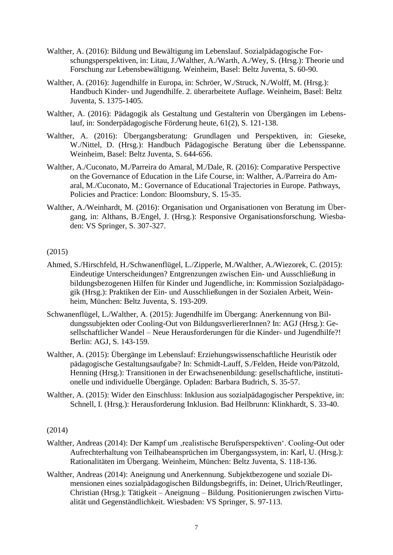- Walther, A. (2016): Bildung und Bewältigung im Lebenslauf. Sozialpädagogische Forschungsperspektiven, in: Litau, J./Walther, A./Warth, A./Wey, S. (Hrsg.): Theorie und Forschung zur Lebensbewältigung. Weinheim, Basel: Beltz Juventa, S. 60-90.
- Walther, A. (2016): Jugendhilfe in Europa, in: Schröer, W./Struck, N./Wolff, M. (Hrsg.): Handbuch Kinder- und Jugendhilfe. 2. überarbeitete Auflage. Weinheim, Basel: Beltz Juventa, S. 1375-1405.
- Walther, A. (2016): Pädagogik als Gestaltung und Gestalterin von Übergängen im Lebenslauf, in: Sonderpädagogische Förderung heute, 61(2), S. 121-138.
- Walther, A. (2016): Übergangsberatung: Grundlagen und Perspektiven, in: Gieseke, W./Nittel, D. (Hrsg.): Handbuch Pädagogische Beratung über die Lebensspanne. Weinheim, Basel: Beltz Juventa, S. 644-656.
- Walther, A./Cuconato, M./Parreira do Amaral, M./Dale, R. (2016): Comparative Perspective on the Governance of Education in the Life Course, in: Walther, A./Parreira do Amaral, M./Cuconato, M.: Governance of Educational Trajectories in Europe. Pathways, Policies and Practice: London: Bloomsbury, S. 15-35.
- Walther, A./Weinhardt, M. (2016): Organisation und Organisationen von Beratung im Übergang, in: Althans, B./Engel, J. (Hrsg.): Responsive Organisationsforschung. Wiesbaden: VS Springer, S. 307-327.

# (2015)

- Ahmed, S./Hirschfeld, H./Schwanenflügel, L./Zipperle, M./Walther, A./Wiezorek, C. (2015): Eindeutige Unterscheidungen? Entgrenzungen zwischen Ein- und Ausschließung in bildungsbezogenen Hilfen für Kinder und Jugendliche, in: Kommission Sozialpädagogik (Hrsg.): Praktiken der Ein- und Ausschließungen in der Sozialen Arbeit, Weinheim, München: Beltz Juventa, S. 193-209.
- Schwanenflügel, L./Walther, A. (2015): Jugendhilfe im Übergang: Anerkennung von Bildungssubjekten oder Cooling-Out von BildungsverliererInnen? In: AGJ (Hrsg.): Gesellschaftlicher Wandel – Neue Herausforderungen für die Kinder- und Jugendhilfe?! Berlin: AGJ, S. 143-159.
- Walther, A. (2015): Übergänge im Lebenslauf: Erziehungswissenschaftliche Heuristik oder pädagogische Gestaltungsaufgabe? In: Schmidt-Lauff, S./Felden, Heide von/Pätzold, Henning (Hrsg.): Transitionen in der Erwachsenenbildung: gesellschaftliche, institutionelle und individuelle Übergänge. Opladen: Barbara Budrich, S. 35-57.
- Walther, A. (2015): Wider den Einschluss: Inklusion aus sozialpädagogischer Perspektive, in: Schnell, I. (Hrsg.): Herausforderung Inklusion. Bad Heilbrunn: Klinkhardt, S. 33-40.

# (2014)

- Walther, Andreas (2014): Der Kampf um , realistische Berufsperspektiven'. Cooling-Out oder Aufrechterhaltung von Teilhabeansprüchen im Übergangssystem, in: Karl, U. (Hrsg.): Rationalitäten im Übergang. Weinheim, München: Beltz Juventa, S. 118-136.
- Walther, Andreas (2014): Aneignung und Anerkennung. Subjektbezogene und soziale Dimensionen eines sozialpädagogischen Bildungsbegriffs, in: Deinet, Ulrich/Reutlinger, Christian (Hrsg.): Tätigkeit – Aneignung – Bildung. Positionierungen zwischen Virtualität und Gegenständlichkeit. Wiesbaden: VS Springer, S. 97-113.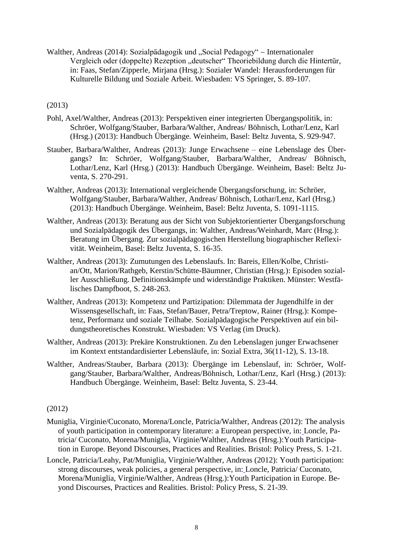Walther, Andreas (2014): Sozialpädagogik und "Social Pedagogy" – Internationaler Vergleich oder (doppelte) Rezeption "deutscher" Theoriebildung durch die Hintertür, in: Faas, Stefan/Zipperle, Mirjana (Hrsg.): Sozialer Wandel: Herausforderungen für Kulturelle Bildung und Soziale Arbeit. Wiesbaden: VS Springer, S. 89-107.

# (2013)

- Pohl, Axel/Walther, Andreas (2013): Perspektiven einer integrierten Übergangspolitik, in: Schröer, Wolfgang/Stauber, Barbara/Walther, Andreas/ Böhnisch, Lothar/Lenz, Karl (Hrsg.) (2013): Handbuch Übergänge. Weinheim, Basel: Beltz Juventa, S. 929-947.
- Stauber, Barbara/Walther, Andreas (2013): Junge Erwachsene eine Lebenslage des Übergangs? In: Schröer, Wolfgang/Stauber, Barbara/Walther, Andreas/ Böhnisch, Lothar/Lenz, Karl (Hrsg.) (2013): Handbuch Übergänge. Weinheim, Basel: Beltz Juventa, S. 270-291.
- Walther, Andreas (2013): International vergleichende Übergangsforschung, in: Schröer, Wolfgang/Stauber, Barbara/Walther, Andreas/ Böhnisch, Lothar/Lenz, Karl (Hrsg.) (2013): Handbuch Übergänge. Weinheim, Basel: Beltz Juventa, S. 1091-1115.
- Walther, Andreas (2013): Beratung aus der Sicht von Subjektorientierter Übergangsforschung und Sozialpädagogik des Übergangs, in: Walther, Andreas/Weinhardt, Marc (Hrsg.): Beratung im Übergang. Zur sozialpädagogischen Herstellung biographischer Reflexivität. Weinheim, Basel: Beltz Juventa, S. 16-35.
- Walther, Andreas (2013): Zumutungen des Lebenslaufs. In: Bareis, Ellen/Kolbe, Christian/Ott, Marion/Rathgeb, Kerstin/Schütte-Bäumner, Christian (Hrsg.): Episoden sozialler Ausschließung. Definitionskämpfe und widerständige Praktiken. Münster: Westfälisches Dampfboot, S. 248-263.
- Walther, Andreas (2013): Kompetenz und Partizipation: Dilemmata der Jugendhilfe in der Wissensgesellschaft, in: Faas, Stefan/Bauer, Petra/Treptow, Rainer (Hrsg.): Kompetenz, Performanz und soziale Teilhabe. Sozialpädagogische Perspektiven auf ein bildungstheoretisches Konstrukt. Wiesbaden: VS Verlag (im Druck).
- Walther, Andreas (2013): Prekäre Konstruktionen. Zu den Lebenslagen junger Erwachsener im Kontext entstandardisierter Lebensläufe, in: Sozial Extra, 36(11-12), S. 13-18.
- Walther, Andreas/Stauber, Barbara (2013): Übergänge im Lebenslauf, in: Schröer, Wolfgang/Stauber, Barbara/Walther, Andreas/Böhnisch, Lothar/Lenz, Karl (Hrsg.) (2013): Handbuch Übergänge. Weinheim, Basel: Beltz Juventa, S. 23-44.

# (2012)

- Muniglia, Virginie/Cuconato, Morena/Loncle, Patricia/Walther, Andreas (2012): The analysis of youth participation in contemporary literature: a European perspective, in: Loncle, Patricia/ Cuconato, Morena/Muniglia, Virginie/Walther, Andreas (Hrsg.):Youth Participation in Europe. Beyond Discourses, Practices and Realities. Bristol: Policy Press, S. 1-21.
- Loncle, Patricia/Leahy, Pat/Muniglia, Virginie/Walther, Andreas (2012): Youth participation: strong discourses, weak policies, a general perspective, in: Loncle, Patricia/ Cuconato, Morena/Muniglia, Virginie/Walther, Andreas (Hrsg.):Youth Participation in Europe. Beyond Discourses, Practices and Realities. Bristol: Policy Press, S. 21-39.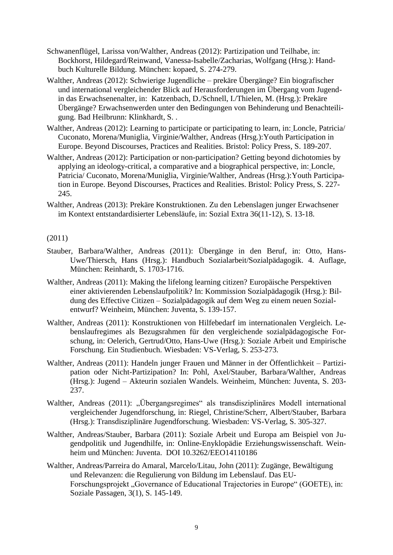- Schwanenflügel, Larissa von/Walther, Andreas (2012): Partizipation und Teilhabe, in: Bockhorst, Hildegard/Reinwand, Vanessa-Isabelle/Zacharias, Wolfgang (Hrsg.): Handbuch Kulturelle Bildung. München: kopaed, S. 274-279.
- Walther, Andreas (2012): Schwierige Jugendliche prekäre Übergänge? Ein biografischer und international vergleichender Blick auf Herausforderungen im Übergang vom Jugendin das Erwachsenenalter, in: Katzenbach, D./Schnell, I./Thielen, M. (Hrsg.): Prekäre Übergänge? Erwachsenwerden unter den Bedingungen von Behinderung und Benachteiligung. Bad Heilbrunn: Klinkhardt, S. .
- Walther, Andreas (2012): Learning to participate or participating to learn, in: Loncle, Patricia/ Cuconato, Morena/Muniglia, Virginie/Walther, Andreas (Hrsg.):Youth Participation in Europe. Beyond Discourses, Practices and Realities. Bristol: Policy Press, S. 189-207.
- Walther, Andreas (2012): Participation or non-participation? Getting beyond dichotomies by applying an ideology-critical, a comparative and a biographical perspective, in: Loncle, Patricia/ Cuconato, Morena/Muniglia, Virginie/Walther, Andreas (Hrsg.):Youth Participation in Europe. Beyond Discourses, Practices and Realities. Bristol: Policy Press, S. 227- 245.
- Walther, Andreas (2013): Prekäre Konstruktionen. Zu den Lebenslagen junger Erwachsener im Kontext entstandardisierter Lebensläufe, in: Sozial Extra 36(11-12), S. 13-18.

# (2011)

- Stauber, Barbara/Walther, Andreas (2011): Übergänge in den Beruf, in: Otto, Hans-Uwe/Thiersch, Hans (Hrsg.): Handbuch Sozialarbeit/Sozialpädagogik. 4. Auflage, München: Reinhardt, S. 1703-1716.
- Walther, Andreas (2011): Making the lifelong learning citizen? Europäische Perspektiven einer aktivierenden Lebenslaufpolitik? In: Kommission Sozialpädagogik (Hrsg.): Bildung des Effective Citizen – Sozialpädagogik auf dem Weg zu einem neuen Sozialentwurf? Weinheim, München: Juventa, S. 139-157.
- Walther, Andreas (2011): Konstruktionen von Hilfebedarf im internationalen Vergleich. Lebenslaufregimes als Bezugsrahmen für den vergleichende sozialpädagogische Forschung, in: Oelerich, Gertrud/Otto, Hans-Uwe (Hrsg.): Soziale Arbeit und Empirische Forschung. Ein Studienbuch. Wiesbaden: VS-Verlag, S. 253-273.
- Walther, Andreas (2011): Handeln junger Frauen und Männer in der Öffentlichkeit Partizipation oder Nicht-Partizipation? In: Pohl, Axel/Stauber, Barbara/Walther, Andreas (Hrsg.): Jugend – Akteurin sozialen Wandels. Weinheim, München: Juventa, S. 203- 237.
- Walther, Andreas (2011): "Übergangsregimes" als transdisziplinäres Modell international vergleichender Jugendforschung, in: Riegel, Christine/Scherr, Albert/Stauber, Barbara (Hrsg.): Transdisziplinäre Jugendforschung. Wiesbaden: VS-Verlag, S. 305-327.
- Walther, Andreas/Stauber, Barbara (2011): Soziale Arbeit und Europa am Beispiel von Jugendpolitik und Jugendhilfe, in: Online-Enyklopädie Erziehungswissenschaft. Weinheim und München: Juventa. DOI 10.3262/EEO14110186
- Walther, Andreas/Parreira do Amaral, Marcelo/Litau, John (2011): Zugänge, Bewältigung und Relevanzen: die Regulierung von Bildung im Lebenslauf. Das EU-Forschungsprojekt "Governance of Educational Trajectories in Europe" (GOETE), in: Soziale Passagen, 3(1), S. 145-149.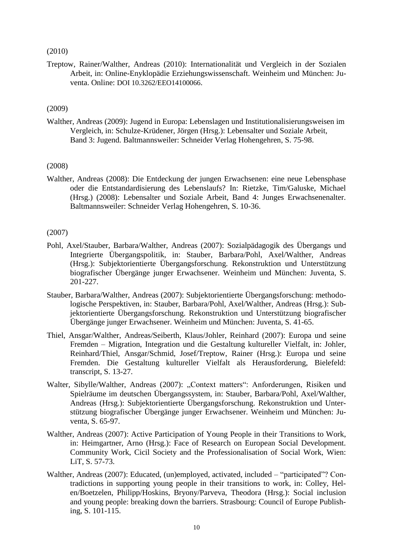# (2010)

Treptow, Rainer/Walther, Andreas (2010): Internationalität und Vergleich in der Sozialen Arbeit, in: Online-Enyklopädie Erziehungswissenschaft. Weinheim und München: Juventa. Online: DOI 10.3262/EEO14100066.

# (2009)

Walther, Andreas (2009): Jugend in Europa: Lebenslagen und Institutionalisierungsweisen im Vergleich, in: Schulze-Krüdener, Jörgen (Hrsg.): Lebensalter und Soziale Arbeit, Band 3: Jugend. Baltmannsweiler: Schneider Verlag Hohengehren, S. 75-98.

# (2008)

Walther, Andreas (2008): Die Entdeckung der jungen Erwachsenen: eine neue Lebensphase oder die Entstandardisierung des Lebenslaufs? In: Rietzke, Tim/Galuske, Michael (Hrsg.) (2008): Lebensalter und Soziale Arbeit, Band 4: Junges Erwachsenenalter. Baltmannsweiler: Schneider Verlag Hohengehren, S. 10-36.

# (2007)

- Pohl, Axel/Stauber, Barbara/Walther, Andreas (2007): Sozialpädagogik des Übergangs und Integrierte Übergangspolitik, in: Stauber, Barbara/Pohl, Axel/Walther, Andreas (Hrsg.): Subjektorientierte Übergangsforschung. Rekonstruktion und Unterstützung biografischer Übergänge junger Erwachsener. Weinheim und München: Juventa, S. 201-227.
- Stauber, Barbara/Walther, Andreas (2007): Subjektorientierte Übergangsforschung: methodologische Perspektiven, in: Stauber, Barbara/Pohl, Axel/Walther, Andreas (Hrsg.): Subjektorientierte Übergangsforschung. Rekonstruktion und Unterstützung biografischer Übergänge junger Erwachsener. Weinheim und München: Juventa, S. 41-65.
- Thiel, Ansgar/Walther, Andreas/Seiberth, Klaus/Johler, Reinhard (2007): Europa und seine Fremden – Migration, Integration und die Gestaltung kultureller Vielfalt, in: Johler, Reinhard/Thiel, Ansgar/Schmid, Josef/Treptow, Rainer (Hrsg.): Europa und seine Fremden. Die Gestaltung kultureller Vielfalt als Herausforderung, Bielefeld: transcript, S. 13-27.
- Walter, Sibylle/Walther, Andreas (2007): "Context matters": Anforderungen, Risiken und Spielräume im deutschen Übergangssystem, in: Stauber, Barbara/Pohl, Axel/Walther, Andreas (Hrsg.): Subjektorientierte Übergangsforschung. Rekonstruktion und Unterstützung biografischer Übergänge junger Erwachsener. Weinheim und München: Juventa, S. 65-97.
- Walther, Andreas (2007): Active Participation of Young People in their Transitions to Work, in: Heimgartner, Arno (Hrsg.): Face of Research on European Social Development. Community Work, Cicil Society and the Professionalisation of Social Work, Wien: LiT, S. 57-73.
- Walther, Andreas (2007): Educated, (un)employed, activated, included "participated"? Contradictions in supporting young people in their transitions to work, in: Colley, Helen/Boetzelen, Philipp/Hoskins, Bryony/Parveva, Theodora (Hrsg.): Social inclusion and young people: breaking down the barriers. Strasbourg: Council of Europe Publishing, S. 101-115.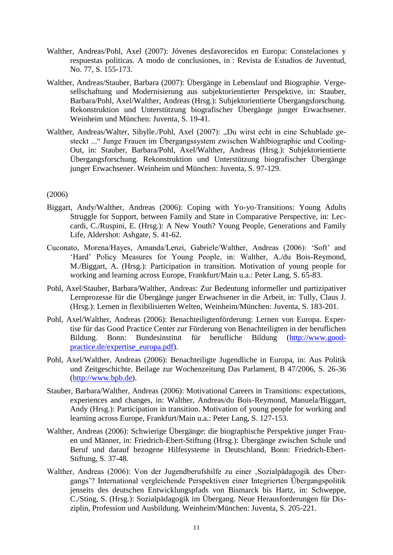- Walther, Andreas/Pohl, Axel (2007): Jóvenes desfavorecidos en Europa: Constelaciones y respuestas politicas. A modo de conclusiones, in : Revista de Estudios de Juventud, No. 77, S. 155-173.
- Walther, Andreas/Stauber, Barbara (2007): Übergänge in Lebenslauf und Biographie. Vergesellschaftung und Modernisierung aus subjektorientierter Perspektive, in: Stauber, Barbara/Pohl, Axel/Walther, Andreas (Hrsg.): Subjektorientierte Übergangsforschung. Rekonstruktion und Unterstützung biografischer Übergänge junger Erwachsener. Weinheim und München: Juventa, S. 19-41.
- Walther, Andreas/Walter, Sibylle./Pohl, Axel (2007): "Du wirst echt in eine Schublade gesteckt ..." Junge Frauen im Übergangssystem zwischen Wahlbiographie und Cooling-Out, in: Stauber, Barbara/Pohl, Axel/Walther, Andreas (Hrsg.): Subjektorientierte Übergangsforschung. Rekonstruktion und Unterstützung biografischer Übergänge junger Erwachsener. Weinheim und München: Juventa, S. 97-129.

# (2006)

- Biggart, Andy/Walther, Andreas (2006): Coping with Yo-yo-Transitions: Young Adults Struggle for Support, between Family and State in Comparative Perspective, in: Leccardi, C./Ruspini, E. (Hrsg.): A New Youth? Young People, Generations and Family Life, Aldershot: Ashgate, S. 41-62.
- Cuconato, Morena/Hayes, Amanda/Lenzi, Gabriele/Walther, Andreas (2006): 'Soft' and 'Hard' Policy Measures for Young People, in: Walther, A./du Bois-Reymond, M./Biggart, A. (Hrsg.): Participation in transition. Motivation of young people for working and learning across Europe, Frankfurt/Main u.a.: Peter Lang, S. 65-83.
- Pohl, Axel/Stauber, Barbara/Walther, Andreas: Zur Bedeutung informeller und partizipativer Lernprozesse für die Übergänge junger Erwachsener in die Arbeit, in: Tully, Claus J. (Hrsg.): Lernen in flexibilisierten Welten, Weinheim/München: Juventa, S. 183-201.
- Pohl, Axel/Walther, Andreas (2006): Benachteiligtenförderung: Lernen von Europa. Expertise für das Good Practice Center zur Förderung von Benachteiligten in der beruflichen Bildung. Bonn: Bundesinstitut für berufliche Bildung [\(http://www.good](http://www.good-practice.de/expertise_europa.pdf)[practice.de/expertise\\_europa.pdf\)](http://www.good-practice.de/expertise_europa.pdf).
- Pohl, Axel/Walther, Andreas (2006): Benachteiligte Jugendliche in Europa, in: Aus Politik und Zeitgeschichte. Beilage zur Wochenzeitung Das Parlament, B 47/2006, S. 26-36 [\(http://www.bpb.de\)](http://www.bpb.de/).
- Stauber, Barbara/Walther, Andreas (2006): Motivational Careers in Transitions: expectations, experiences and changes, in: Walther, Andreas/du Bois-Reymond, Manuela/Biggart, Andy (Hrsg.): Participation in transition. Motivation of young people for working and learning across Europe, Frankfurt/Main u.a.: Peter Lang, S. 127-153.
- Walther, Andreas (2006): Schwierige Übergänge: die biographische Perspektive junger Frauen und Männer, in: Friedrich-Ebert-Stiftung (Hrsg.): Übergänge zwischen Schule und Beruf und darauf bezogene Hilfesysteme in Deutschland, Bonn: Friedrich-Ebert-Stiftung, S. 37-48.
- Walther, Andreas (2006): Von der Jugendberufshilfe zu einer , Sozialpädagogik des Übergangs'? International vergleichende Perspektiven einer Integrierten Übergangspolitik jenseits des deutschen Entwicklungspfads von Bismarck bis Hartz, in: Schweppe, C./Sting, S. (Hrsg.): Sozialpädagogik im Übergang. Neue Herausforderungen für Disziplin, Profession und Ausbildung. Weinheim/München: Juventa, S. 205-221.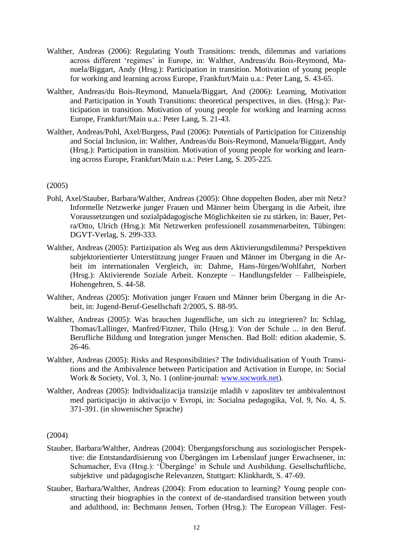- Walther, Andreas (2006): Regulating Youth Transitions: trends, dilemmas and variations across different 'regimes' in Europe, in: Walther, Andreas/du Bois-Reymond, Manuela/Biggart, Andy (Hrsg.): Participation in transition. Motivation of young people for working and learning across Europe, Frankfurt/Main u.a.: Peter Lang, S. 43-65.
- Walther, Andreas/du Bois-Reymond, Manuela/Biggart, And (2006): Learning, Motivation and Participation in Youth Transitions: theoretical perspectives, in dies. (Hrsg.): Participation in transition. Motivation of young people for working and learning across Europe, Frankfurt/Main u.a.: Peter Lang, S. 21-43.
- Walther, Andreas/Pohl, Axel/Burgess, Paul (2006): Potentials of Participation for Citizenship and Social Inclusion, in: Walther, Andreas/du Bois-Reymond, Manuela/Biggart, Andy (Hrsg.): Participation in transition. Motivation of young people for working and learning across Europe, Frankfurt/Main u.a.: Peter Lang, S. 205-225.

# (2005)

- Pohl, Axel/Stauber, Barbara/Walther, Andreas (2005): Ohne doppelten Boden, aber mit Netz? Informelle Netzwerke junger Frauen und Männer beim Übergang in die Arbeit, ihre Voraussetzungen und sozialpädagogische Möglichkeiten sie zu stärken, in: Bauer, Petra/Otto, Ulrich (Hrsg.): Mit Netzwerken professionell zusammenarbeiten, Tübingen: DGVT-Verlag, S. 299-333.
- Walther, Andreas (2005): Partizipation als Weg aus dem Aktivierungsdilemma? Perspektiven subjektorientierter Unterstützung junger Frauen und Männer im Übergang in die Arbeit im internationalen Vergleich, in: Dahme, Hans-Jürgen/Wohlfahrt, Norbert (Hrsg.): Aktivierende Soziale Arbeit. Konzepte – Handlungsfelder – Fallbeispiele, Hohengehren, S. 44-58.
- Walther, Andreas (2005): Motivation junger Frauen und Männer beim Übergang in die Arbeit, in: Jugend-Beruf-Gesellschaft 2/2005, S. 88-95.
- Walther, Andreas (2005): Was brauchen Jugendliche, um sich zu integrieren? In: Schlag, Thomas/Lallinger, Manfred/Fitzner, Thilo (Hrsg.): Von der Schule ... in den Beruf. Berufliche Bildung und Integration junger Menschen. Bad Boll: edition akademie, S. 26-46.
- Walther, Andreas (2005): Risks and Responsibilities? The Individualisation of Youth Transitions and the Ambivalence between Participation and Activation in Europe, in: Social Work & Society, Vol. 3, No. 1 (online-journal: [www.socwork.net\)](http://www.socwork.net/).
- Walther, Andreas (2005): Individualizacija transizije mladih v zaposlitev ter ambivalentnost med participacijo in aktivacijo v Evropi, in: Socialna pedagogika, Vol. 9, No. 4, S. 371-391. (in slowenischer Sprache)

#### (2004)

- Stauber, Barbara/Walther, Andreas (2004): Übergangsforschung aus soziologischer Perspektive: die Entstandardisierung von Übergängen im Lebenslauf junger Erwachsener, in: Schumacher, Eva (Hrsg.): 'Übergänge' in Schule und Ausbildung. Gesellschaftliche, subjektive und pädagogische Relevanzen, Stuttgart: Klinkhardt, S. 47-69.
- Stauber, Barbara/Walther, Andreas (2004): From education to learning? Young people constructing their biographies in the context of de-standardised transition between youth and adulthood, in: Bechmann Jensen, Torben (Hrsg.): The European Villager. Fest-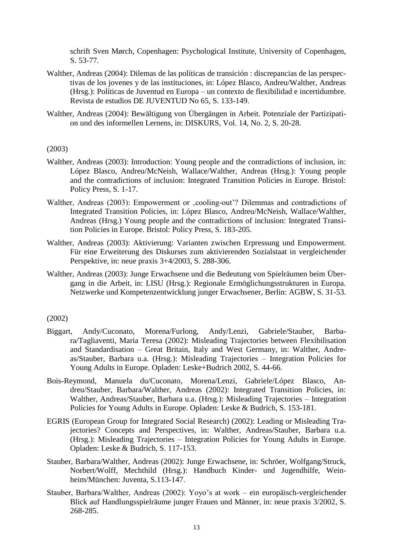schrift Sven Mørch, Copenhagen: Psychological Institute, University of Copenhagen, S. 53-77.

- Walther, Andreas (2004): Dilemas de las políticas de transición : discrepancias de las perspectivas de los jovenes y de las instituciones, in: López Blasco, Andreu/Walther, Andreas (Hrsg.): Políticas de Juventud en Europa – un contexto de flexibilidad e incertidumbre. Revista de estudios DE JUVENTUD No 65, S. 133-149.
- Walther, Andreas (2004): Bewältigung von Übergängen in Arbeit. Potenziale der Partizipation und des informellen Lernens, in: DISKURS, Vol. 14, No. 2, S. 20-28.

(2003)

- Walther, Andreas (2003): Introduction: Young people and the contradictions of inclusion, in: López Blasco, Andreu/McNeish, Wallace/Walther, Andreas (Hrsg.): Young people and the contradictions of inclusion: Integrated Transition Policies in Europe. Bristol: Policy Press, S. 1-17.
- Walther, Andreas (2003): Empowerment or , cooling-out'? Dilemmas and contradictions of Integrated Transition Policies, in: López Blasco, Andreu/McNeish, Wallace/Walther, Andreas (Hrsg.) Young people and the contradictions of inclusion: Integrated Transition Policies in Europe. Bristol: Policy Press, S. 183-205.
- Walther, Andreas (2003): Aktivierung: Varianten zwischen Erpressung und Empowerment. Für eine Erweiterung des Diskurses zum aktivierenden Sozialstaat in vergleichender Perspektive, in: neue praxis 3+4/2003, S. 288-306.
- Walther, Andreas (2003): Junge Erwachsene und die Bedeutung von Spielräumen beim Übergang in die Arbeit, in: LISU (Hrsg.): Regionale Ermöglichungsstrukturen in Europa. Netzwerke und Kompetenzentwicklung junger Erwachsener, Berlin: AGBW, S. 31-53.

#### (2002)

- Biggart, Andy/Cuconato, Morena/Furlong, Andy/Lenzi, Gabriele/Stauber, Barbara/Tagliaventi, Maria Teresa (2002): Misleading Trajectories between Flexibilisation and Standardisation – Great Britain, Italy and West Germany, in: Walther, Andreas/Stauber, Barbara u.a. (Hrsg.): Misleading Trajectories – Integration Policies for Young Adults in Europe. Opladen: Leske+Budrich 2002, S. 44-66.
- Bois-Reymond, Manuela du/Cuconato, Morena/Lenzi, Gabriele/López Blasco, Andreu/Stauber, Barbara/Walther, Andreas (2002): Integrated Transition Policies, in: Walther, Andreas/Stauber, Barbara u.a. (Hrsg.): Misleading Trajectories – Integration Policies for Young Adults in Europe. Opladen: Leske & Budrich, S. 153-181.
- EGRIS (European Group for Integrated Social Research) (2002): Leading or Misleading Trajectories? Concepts and Perspectives, in: Walther, Andreas/Stauber, Barbara u.a. (Hrsg.): Misleading Trajectories – Integration Policies for Young Adults in Europe. Opladen: Leske & Budrich, S. 117-153.
- Stauber, Barbara/Walther, Andreas (2002): Junge Erwachsene, in: Schröer, Wolfgang/Struck, Norbert/Wolff, Mechthild (Hrsg.): Handbuch Kinder- und Jugendhilfe, Weinheim/München: Juventa, S.113-147.
- Stauber, Barbara/Walther, Andreas (2002): Yoyo's at work ein europäisch-vergleichender Blick auf Handlungsspielräume junger Frauen und Männer, in: neue praxis 3/2002, S. 268-285.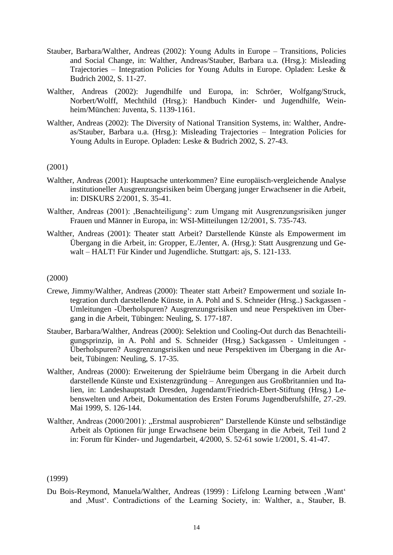- Stauber, Barbara/Walther, Andreas (2002): Young Adults in Europe Transitions, Policies and Social Change, in: Walther, Andreas/Stauber, Barbara u.a. (Hrsg.): Misleading Trajectories – Integration Policies for Young Adults in Europe. Opladen: Leske & Budrich 2002, S. 11-27.
- Walther, Andreas (2002): Jugendhilfe und Europa, in: Schröer, Wolfgang/Struck, Norbert/Wolff, Mechthild (Hrsg.): Handbuch Kinder- und Jugendhilfe, Weinheim/München: Juventa, S. 1139-1161.
- Walther, Andreas (2002): The Diversity of National Transition Systems, in: Walther, Andreas/Stauber, Barbara u.a. (Hrsg.): Misleading Trajectories – Integration Policies for Young Adults in Europe. Opladen: Leske & Budrich 2002, S. 27-43.

#### (2001)

- Walther, Andreas (2001): Hauptsache unterkommen? Eine europäisch-vergleichende Analyse institutioneller Ausgrenzungsrisiken beim Übergang junger Erwachsener in die Arbeit, in: DISKURS 2/2001, S. 35-41.
- Walther, Andreas (2001): ,Benachteiligung': zum Umgang mit Ausgrenzungsrisiken junger Frauen und Männer in Europa, in: WSI-Mitteilungen 12/2001, S. 735-743.
- Walther, Andreas (2001): Theater statt Arbeit? Darstellende Künste als Empowerment im Übergang in die Arbeit, in: Gropper, E./Jenter, A. (Hrsg.): Statt Ausgrenzung und Gewalt – HALT! Für Kinder und Jugendliche. Stuttgart: ajs, S. 121-133.

## (2000)

- Crewe, Jimmy/Walther, Andreas (2000): Theater statt Arbeit? Empowerment und soziale Integration durch darstellende Künste, in A. Pohl and S. Schneider (Hrsg..) Sackgassen - Umleitungen -Überholspuren? Ausgrenzungsrisiken und neue Perspektiven im Übergang in die Arbeit, Tübingen: Neuling, S. 177-187.
- Stauber, Barbara/Walther, Andreas (2000): Selektion und Cooling-Out durch das Benachteiligungsprinzip, in A. Pohl and S. Schneider (Hrsg.) Sackgassen - Umleitungen - Überholspuren? Ausgrenzungsrisiken und neue Perspektiven im Übergang in die Arbeit, Tübingen: Neuling, S. 17-35.
- Walther, Andreas (2000): Erweiterung der Spielräume beim Übergang in die Arbeit durch darstellende Künste und Existenzgründung – Anregungen aus Großbritannien und Italien, in: Landeshauptstadt Dresden, Jugendamt/Friedrich-Ebert-Stiftung (Hrsg.) Lebenswelten und Arbeit, Dokumentation des Ersten Forums Jugendberufshilfe, 27.-29. Mai 1999, S. 126-144.
- Walther, Andreas (2000/2001): "Erstmal ausprobieren" Darstellende Künste und selbständige Arbeit als Optionen für junge Erwachsene beim Übergang in die Arbeit, Teil 1und 2 in: Forum für Kinder- und Jugendarbeit, 4/2000, S. 52-61 sowie 1/2001, S. 41-47.

(1999)

Du Bois-Reymond, Manuela/Walther, Andreas (1999) : Lifelong Learning between ,Want' and ,Must'. Contradictions of the Learning Society, in: Walther, a., Stauber, B.